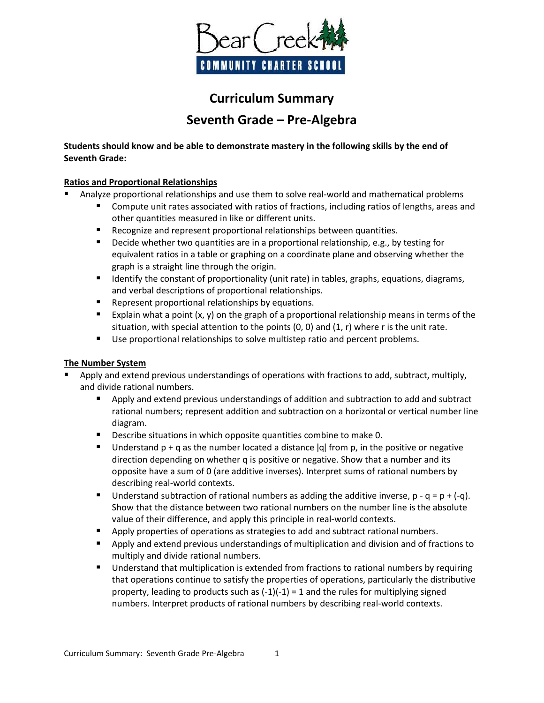

# **Curriculum Summary Seventh Grade – Pre-Algebra**

**Students should know and be able to demonstrate mastery in the following skills by the end of Seventh Grade:**

# **Ratios and Proportional Relationships**

- Analyze proportional relationships and use them to solve real-world and mathematical problems
	- **Compute unit rates associated with ratios of fractions, including ratios of lengths, areas and** other quantities measured in like or different units.
	- Recognize and represent proportional relationships between quantities.
	- **P** Decide whether two quantities are in a proportional relationship, e.g., by testing for equivalent ratios in a table or graphing on a coordinate plane and observing whether the graph is a straight line through the origin.
	- **IDENTIFY 19 IDENTIFY THE CONSTANT OF PROPORT IDENTIFY IS A LOCAL FORMOT IDENTIFY IS A LOCAL FORMOT IDENTIFY** IDENTIFY IDENTIFY IDENTIFY IN tappens, and verbal descriptions of proportional relationships.
	- **Represent proportional relationships by equations.**
	- Explain what a point  $(x, y)$  on the graph of a proportional relationship means in terms of the situation, with special attention to the points  $(0, 0)$  and  $(1, r)$  where r is the unit rate.
	- **Use proportional relationships to solve multistep ratio and percent problems.**

#### **The Number System**

- Apply and extend previous understandings of operations with fractions to add, subtract, multiply, and divide rational numbers.
	- **Apply and extend previous understandings of addition and subtraction to add and subtract** rational numbers; represent addition and subtraction on a horizontal or vertical number line diagram.
	- **Describe situations in which opposite quantities combine to make 0.**
	- Understand  $p + q$  as the number located a distance  $|q|$  from p, in the positive or negative direction depending on whether q is positive or negative. Show that a number and its opposite have a sum of 0 (are additive inverses). Interpret sums of rational numbers by describing real-world contexts.
	- Understand subtraction of rational numbers as adding the additive inverse,  $p q = p + (-q)$ . Show that the distance between two rational numbers on the number line is the absolute value of their difference, and apply this principle in real-world contexts.
	- **Apply properties of operations as strategies to add and subtract rational numbers.**
	- **Apply and extend previous understandings of multiplication and division and of fractions to** multiply and divide rational numbers.
	- **Understand that multiplication is extended from fractions to rational numbers by requiring** that operations continue to satisfy the properties of operations, particularly the distributive property, leading to products such as  $(-1)(-1) = 1$  and the rules for multiplying signed numbers. Interpret products of rational numbers by describing real-world contexts.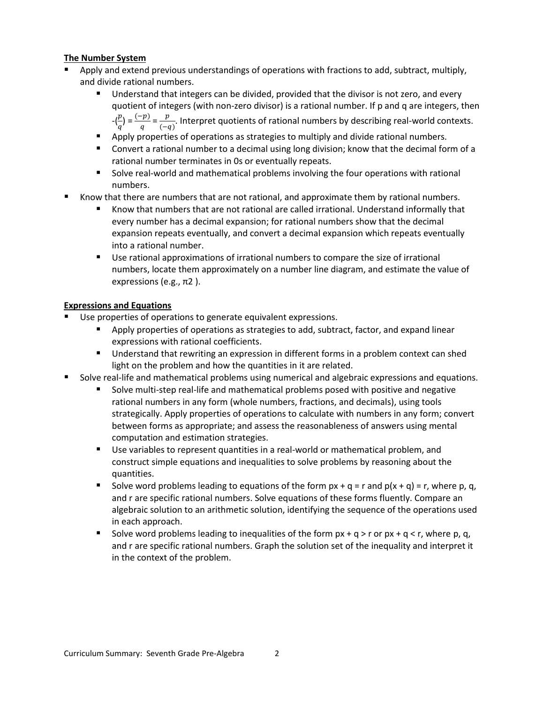# **The Number System**

- Apply and extend previous understandings of operations with fractions to add, subtract, multiply, and divide rational numbers.
	- Understand that integers can be divided, provided that the divisor is not zero, and every quotient of integers (with non-zero divisor) is a rational number. If p and q are integers, then  $-\left(\frac{p}{q}\right)$  $\left(\frac{p}{q}\right) = \frac{(-p)}{q} = \frac{p}{(-q)}$  $\frac{p}{(-q)}$ . Interpret quotients of rational numbers by describing real-world contexts.
	- **Apply properties of operations as strategies to multiply and divide rational numbers.**
	- **Convert a rational number to a decimal using long division; know that the decimal form of a** rational number terminates in 0s or eventually repeats.
	- **Solve real-world and mathematical problems involving the four operations with rational** numbers.
- Know that there are numbers that are not rational, and approximate them by rational numbers.
	- Know that numbers that are not rational are called irrational. Understand informally that every number has a decimal expansion; for rational numbers show that the decimal expansion repeats eventually, and convert a decimal expansion which repeats eventually into a rational number.
	- **Use rational approximations of irrational numbers to compare the size of irrational** numbers, locate them approximately on a number line diagram, and estimate the value of expressions (e.g.,  $\pi$ 2).

# **Expressions and Equations**

- Use properties of operations to generate equivalent expressions.
	- **Apply properties of operations as strategies to add, subtract, factor, and expand linear** expressions with rational coefficients.
	- **Understand that rewriting an expression in different forms in a problem context can shed** light on the problem and how the quantities in it are related.
- Solve real-life and mathematical problems using numerical and algebraic expressions and equations.
	- **Solve multi-step real-life and mathematical problems posed with positive and negative** rational numbers in any form (whole numbers, fractions, and decimals), using tools strategically. Apply properties of operations to calculate with numbers in any form; convert between forms as appropriate; and assess the reasonableness of answers using mental computation and estimation strategies.
	- Use variables to represent quantities in a real-world or mathematical problem, and construct simple equations and inequalities to solve problems by reasoning about the quantities.
	- Solve word problems leading to equations of the form  $px + q = r$  and  $p(x + q) = r$ , where p, q, and r are specific rational numbers. Solve equations of these forms fluently. Compare an algebraic solution to an arithmetic solution, identifying the sequence of the operations used in each approach.
	- Solve word problems leading to inequalities of the form  $px + q > r$  or  $px + q < r$ , where p, q, and r are specific rational numbers. Graph the solution set of the inequality and interpret it in the context of the problem.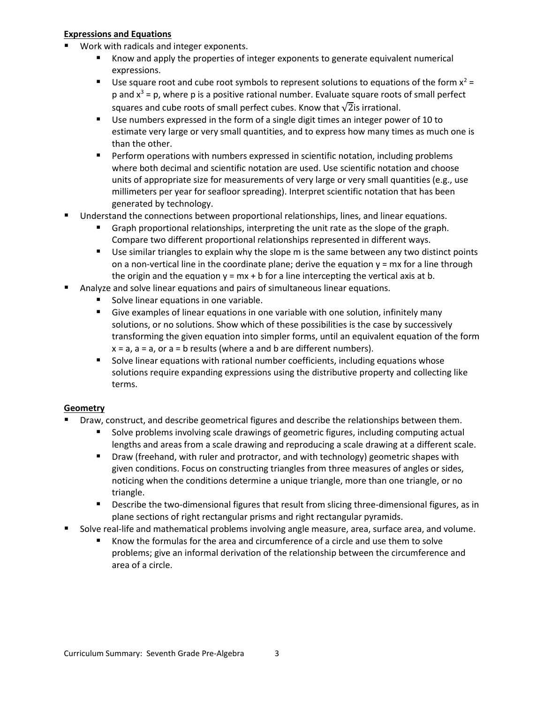# **Expressions and Equations**

- Work with radicals and integer exponents.
	- Know and apply the properties of integer exponents to generate equivalent numerical expressions.
	- Use square root and cube root symbols to represent solutions to equations of the form  $x^2 =$ p and  $x^3$  = p, where p is a positive rational number. Evaluate square roots of small perfect squares and cube roots of small perfect cubes. Know that  $\sqrt{2}$  is irrational.
	- Use numbers expressed in the form of a single digit times an integer power of 10 to estimate very large or very small quantities, and to express how many times as much one is than the other.
	- **Perform operations with numbers expressed in scientific notation, including problems** where both decimal and scientific notation are used. Use scientific notation and choose units of appropriate size for measurements of very large or very small quantities (e.g., use millimeters per year for seafloor spreading). Interpret scientific notation that has been generated by technology.
- Understand the connections between proportional relationships, lines, and linear equations.
	- **Graph proportional relationships, interpreting the unit rate as the slope of the graph.** Compare two different proportional relationships represented in different ways.
	- Use similar triangles to explain why the slope m is the same between any two distinct points on a non-vertical line in the coordinate plane; derive the equation  $y = mx$  for a line through the origin and the equation  $y = mx + b$  for a line intercepting the vertical axis at b.
- Analyze and solve linear equations and pairs of simultaneous linear equations.
	- Solve linear equations in one variable.
	- Give examples of linear equations in one variable with one solution, infinitely many solutions, or no solutions. Show which of these possibilities is the case by successively transforming the given equation into simpler forms, until an equivalent equation of the form  $x = a$ ,  $a = a$ , or  $a = b$  results (where a and b are different numbers).
	- **Solve linear equations with rational number coefficients, including equations whose** solutions require expanding expressions using the distributive property and collecting like terms.

#### **Geometry**

- Draw, construct, and describe geometrical figures and describe the relationships between them.
	- **Solve problems involving scale drawings of geometric figures, including computing actual** lengths and areas from a scale drawing and reproducing a scale drawing at a different scale.
	- **Draw (freehand, with ruler and protractor, and with technology) geometric shapes with** given conditions. Focus on constructing triangles from three measures of angles or sides, noticing when the conditions determine a unique triangle, more than one triangle, or no triangle.
	- **•** Describe the two-dimensional figures that result from slicing three-dimensional figures, as in plane sections of right rectangular prisms and right rectangular pyramids.
- Solve real-life and mathematical problems involving angle measure, area, surface area, and volume.
	- Know the formulas for the area and circumference of a circle and use them to solve problems; give an informal derivation of the relationship between the circumference and area of a circle.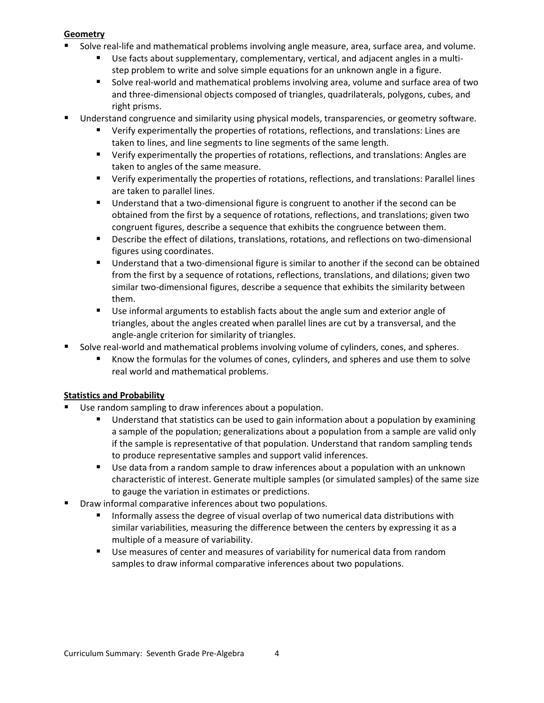# **Geometry**

- Solve real-life and mathematical problems involving angle measure, area, surface area, and volume.
	- Use facts about supplementary, complementary, vertical, and adjacent angles in a multistep problem to write and solve simple equations for an unknown angle in a figure.
	- Solve real-world and mathematical problems involving area, volume and surface area of two and three-dimensional objects composed of triangles, quadrilaterals, polygons, cubes, and right prisms.
- Understand congruence and similarity using physical models, transparencies, or geometry software.
	- Verify experimentally the properties of rotations, reflections, and translations: Lines are taken to lines, and line segments to line segments of the same length.
	- Verify experimentally the properties of rotations, reflections, and translations: Angles are taken to angles of the same measure.
	- Verify experimentally the properties of rotations, reflections, and translations: Parallel lines are taken to parallel lines.
	- Understand that a two-dimensional figure is congruent to another if the second can be obtained from the first by a sequence of rotations, reflections, and translations; given two congruent figures, describe a sequence that exhibits the congruence between them.
	- **Describe the effect of dilations, translations, rotations, and reflections on two-dimensional** figures using coordinates.
	- **Understand that a two-dimensional figure is similar to another if the second can be obtained** from the first by a sequence of rotations, reflections, translations, and dilations; given two similar two-dimensional figures, describe a sequence that exhibits the similarity between them.
	- Use informal arguments to establish facts about the angle sum and exterior angle of triangles, about the angles created when parallel lines are cut by a transversal, and the angle-angle criterion for similarity of triangles.
- Solve real-world and mathematical problems involving volume of cylinders, cones, and spheres.
	- Know the formulas for the volumes of cones, cylinders, and spheres and use them to solve real world and mathematical problems.

# **Statistics and Probability**

- Use random sampling to draw inferences about a population.
	- Understand that statistics can be used to gain information about a population by examining a sample of the population; generalizations about a population from a sample are valid only if the sample is representative of that population. Understand that random sampling tends to produce representative samples and support valid inferences.
	- Use data from a random sample to draw inferences about a population with an unknown characteristic of interest. Generate multiple samples (or simulated samples) of the same size to gauge the variation in estimates or predictions.
- Draw informal comparative inferences about two populations.
	- Informally assess the degree of visual overlap of two numerical data distributions with similar variabilities, measuring the difference between the centers by expressing it as a multiple of a measure of variability.
	- Use measures of center and measures of variability for numerical data from random samples to draw informal comparative inferences about two populations.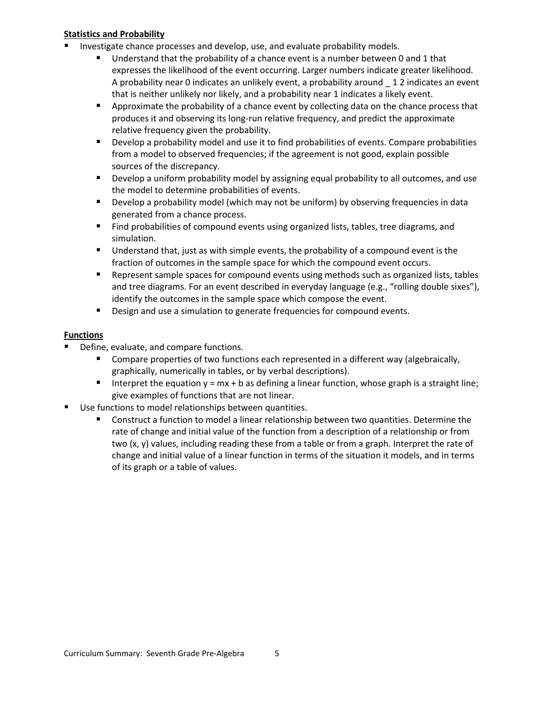# **Statistics and Probability**

- Investigate chance processes and develop, use, and evaluate probability models.
	- Understand that the probability of a chance event is a number between 0 and 1 that expresses the likelihood of the event occurring. Larger numbers indicate greater likelihood. A probability near 0 indicates an unlikely event, a probability around \_ 1 2 indicates an event that is neither unlikely nor likely, and a probability near 1 indicates a likely event.
	- **Approximate the probability of a chance event by collecting data on the chance process that** produces it and observing its long-run relative frequency, and predict the approximate relative frequency given the probability.
	- **Develop a probability model and use it to find probabilities of events. Compare probabilities** from a model to observed frequencies; if the agreement is not good, explain possible sources of the discrepancy.
	- **Develop a uniform probability model by assigning equal probability to all outcomes, and use** the model to determine probabilities of events.
	- **Develop a probability model (which may not be uniform) by observing frequencies in data** generated from a chance process.
	- Find probabilities of compound events using organized lists, tables, tree diagrams, and simulation.
	- Understand that, just as with simple events, the probability of a compound event is the fraction of outcomes in the sample space for which the compound event occurs.
	- **EXECT** Represent sample spaces for compound events using methods such as organized lists, tables and tree diagrams. For an event described in everyday language (e.g., "rolling double sixes"), identify the outcomes in the sample space which compose the event.
	- **Design and use a simulation to generate frequencies for compound events.**

# **Functions**

- Define, evaluate, and compare functions.
	- **Compare properties of two functions each represented in a different way (algebraically,** graphically, numerically in tables, or by verbal descriptions).
	- Interpret the equation  $y = mx + b$  as defining a linear function, whose graph is a straight line; give examples of functions that are not linear.
- Use functions to model relationships between quantities.
	- Construct a function to model a linear relationship between two quantities. Determine the rate of change and initial value of the function from a description of a relationship or from two (x, y) values, including reading these from a table or from a graph. Interpret the rate of change and initial value of a linear function in terms of the situation it models, and in terms of its graph or a table of values.